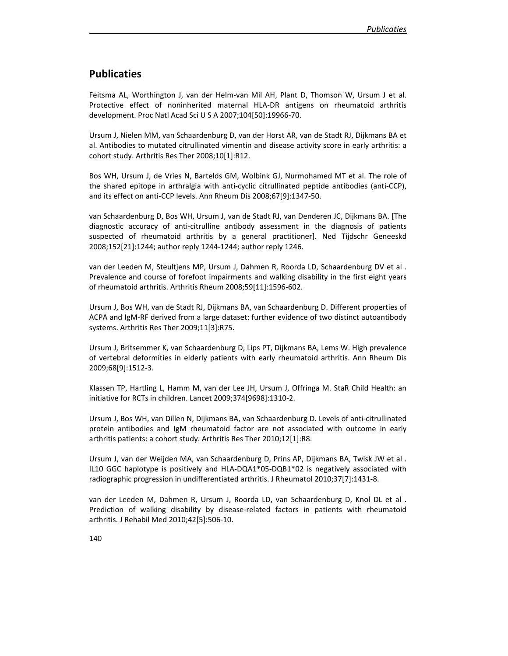## **Publicaties**

Feitsma AL, Worthington J, van der Helm-van Mil AH, Plant D, Thomson W, Ursum J et al. Protective effect of noninherited maternal HLA-DR antigens on rheumatoid arthritis development. Proc Natl Acad Sci U S A 2007;104[50]:19966-70.

Ursum J, Nielen MM, van Schaardenburg D, van der Horst AR, van de Stadt RJ, Dijkmans BA et al. Antibodies to mutated citrullinated vimentin and disease activity score in early arthritis: a cohort study. Arthritis Res Ther 2008;10[1]:R12.

Bos WH, Ursum J, de Vries N, Bartelds GM, Wolbink GJ, Nurmohamed MT et al. The role of the shared epitope in arthralgia with anti-cyclic citrullinated peptide antibodies (anti-CCP), and its effect on anti-CCP levels. Ann Rheum Dis 2008;67[9]:1347-50.

van Schaardenburg D, Bos WH, Ursum J, van de Stadt RJ, van Denderen JC, Dijkmans BA. [The diagnostic accuracy of anti-citrulline antibody assessment in the diagnosis of patients suspected of rheumatoid arthritis by a general practitioner]. Ned Tijdschr Geneeskd 2008;152[21]:1244; author reply 1244-1244; author reply 1246.

van der Leeden M, Steultjens MP, Ursum J, Dahmen R, Roorda LD, Schaardenburg DV et al . Prevalence and course of forefoot impairments and walking disability in the first eight years of rheumatoid arthritis. Arthritis Rheum 2008;59[11]:1596-602.

Ursum J, Bos WH, van de Stadt RJ, Dijkmans BA, van Schaardenburg D. Different properties of ACPA and IgM-RF derived from a large dataset: further evidence of two distinct autoantibody systems. Arthritis Res Ther 2009;11[3]:R75.

Ursum J, Britsemmer K, van Schaardenburg D, Lips PT, Dijkmans BA, Lems W. High prevalence of vertebral deformities in elderly patients with early rheumatoid arthritis. Ann Rheum Dis 2009;68[9]:1512-3.

Klassen TP, Hartling L, Hamm M, van der Lee JH, Ursum J, Offringa M. StaR Child Health: an initiative for RCTs in children. Lancet 2009;374[9698]:1310-2.

Ursum J, Bos WH, van Dillen N, Dijkmans BA, van Schaardenburg D. Levels of anti-citrullinated protein antibodies and IgM rheumatoid factor are not associated with outcome in early arthritis patients: a cohort study. Arthritis Res Ther 2010;12[1]:R8.

Ursum J, van der Weijden MA, van Schaardenburg D, Prins AP, Dijkmans BA, Twisk JW et al . IL10 GGC haplotype is positively and HLA-DQA1\*05-DQB1\*02 is negatively associated with radiographic progression in undifferentiated arthritis. J Rheumatol 2010;37[7]:1431-8.

van der Leeden M, Dahmen R, Ursum J, Roorda LD, van Schaardenburg D, Knol DL et al . Prediction of walking disability by disease-related factors in patients with rheumatoid arthritis. J Rehabil Med 2010;42[5]:506-10.